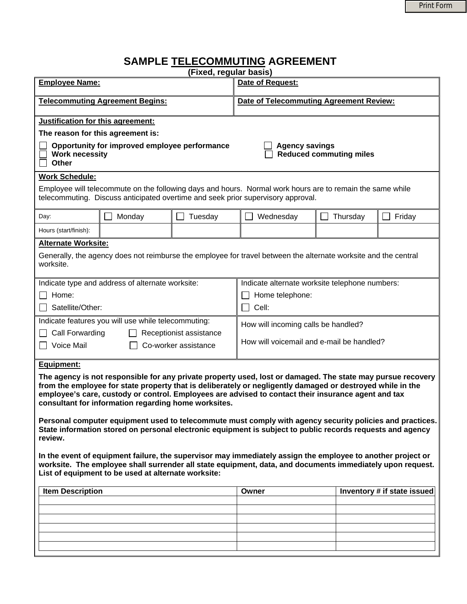## **SAMPLE TELECOMMUTING AGREEMENT**

| (Fixed, regular basis)                                                                                                                                                                                                                                                                                                                                                                                                                                                                                                    |        |         |                                                         |          |                             |  |
|---------------------------------------------------------------------------------------------------------------------------------------------------------------------------------------------------------------------------------------------------------------------------------------------------------------------------------------------------------------------------------------------------------------------------------------------------------------------------------------------------------------------------|--------|---------|---------------------------------------------------------|----------|-----------------------------|--|
| <b>Employee Name:</b>                                                                                                                                                                                                                                                                                                                                                                                                                                                                                                     |        |         | Date of Request:                                        |          |                             |  |
| <b>Telecommuting Agreement Begins:</b>                                                                                                                                                                                                                                                                                                                                                                                                                                                                                    |        |         | <b>Date of Telecommuting Agreement Review:</b>          |          |                             |  |
|                                                                                                                                                                                                                                                                                                                                                                                                                                                                                                                           |        |         |                                                         |          |                             |  |
| Justification for this agreement:                                                                                                                                                                                                                                                                                                                                                                                                                                                                                         |        |         |                                                         |          |                             |  |
| The reason for this agreement is:                                                                                                                                                                                                                                                                                                                                                                                                                                                                                         |        |         |                                                         |          |                             |  |
| Opportunity for improved employee performance<br><b>Work necessity</b><br>Other                                                                                                                                                                                                                                                                                                                                                                                                                                           |        |         | <b>Agency savings</b><br><b>Reduced commuting miles</b> |          |                             |  |
| <b>Work Schedule:</b>                                                                                                                                                                                                                                                                                                                                                                                                                                                                                                     |        |         |                                                         |          |                             |  |
| Employee will telecommute on the following days and hours. Normal work hours are to remain the same while<br>telecommuting. Discuss anticipated overtime and seek prior supervisory approval.                                                                                                                                                                                                                                                                                                                             |        |         |                                                         |          |                             |  |
| Day:                                                                                                                                                                                                                                                                                                                                                                                                                                                                                                                      | Monday | Tuesday | Wednesday                                               | Thursday | Friday                      |  |
| Hours (start/finish):                                                                                                                                                                                                                                                                                                                                                                                                                                                                                                     |        |         |                                                         |          |                             |  |
| <b>Alternate Worksite:</b>                                                                                                                                                                                                                                                                                                                                                                                                                                                                                                |        |         |                                                         |          |                             |  |
| Generally, the agency does not reimburse the employee for travel between the alternate worksite and the central<br>worksite.                                                                                                                                                                                                                                                                                                                                                                                              |        |         |                                                         |          |                             |  |
| Indicate type and address of alternate worksite:                                                                                                                                                                                                                                                                                                                                                                                                                                                                          |        |         | Indicate alternate worksite telephone numbers:          |          |                             |  |
| Home:                                                                                                                                                                                                                                                                                                                                                                                                                                                                                                                     |        |         | Home telephone:                                         |          |                             |  |
| Satellite/Other:                                                                                                                                                                                                                                                                                                                                                                                                                                                                                                          |        |         | Cell:                                                   |          |                             |  |
| Indicate features you will use while telecommuting:                                                                                                                                                                                                                                                                                                                                                                                                                                                                       |        |         | How will incoming calls be handled?                     |          |                             |  |
| Call Forwarding<br>Receptionist assistance                                                                                                                                                                                                                                                                                                                                                                                                                                                                                |        |         | How will voicemail and e-mail be handled?               |          |                             |  |
| Voice Mail<br>Co-worker assistance                                                                                                                                                                                                                                                                                                                                                                                                                                                                                        |        |         |                                                         |          |                             |  |
| <b>Equipment:</b><br>The agency is not responsible for any private property used, lost or damaged. The state may pursue recovery<br>from the employee for state property that is deliberately or negligently damaged or destroyed while in the<br>employee's care, custody or control. Employees are advised to contact their insurance agent and tax<br>consultant for information regarding home worksites.<br>Personal computer equipment used to telecommute must comply with agency security policies and practices. |        |         |                                                         |          |                             |  |
| State information stored on personal electronic equipment is subject to public records requests and agency<br>review.                                                                                                                                                                                                                                                                                                                                                                                                     |        |         |                                                         |          |                             |  |
| In the event of equipment failure, the supervisor may immediately assign the employee to another project or<br>worksite. The employee shall surrender all state equipment, data, and documents immediately upon request.<br>List of equipment to be used at alternate worksite:                                                                                                                                                                                                                                           |        |         |                                                         |          |                             |  |
| <b>Item Description</b>                                                                                                                                                                                                                                                                                                                                                                                                                                                                                                   |        |         | Owner                                                   |          | Inventory # if state issued |  |
|                                                                                                                                                                                                                                                                                                                                                                                                                                                                                                                           |        |         |                                                         |          |                             |  |
|                                                                                                                                                                                                                                                                                                                                                                                                                                                                                                                           |        |         |                                                         |          |                             |  |
|                                                                                                                                                                                                                                                                                                                                                                                                                                                                                                                           |        |         |                                                         |          |                             |  |
|                                                                                                                                                                                                                                                                                                                                                                                                                                                                                                                           |        |         |                                                         |          |                             |  |
|                                                                                                                                                                                                                                                                                                                                                                                                                                                                                                                           |        |         |                                                         |          |                             |  |